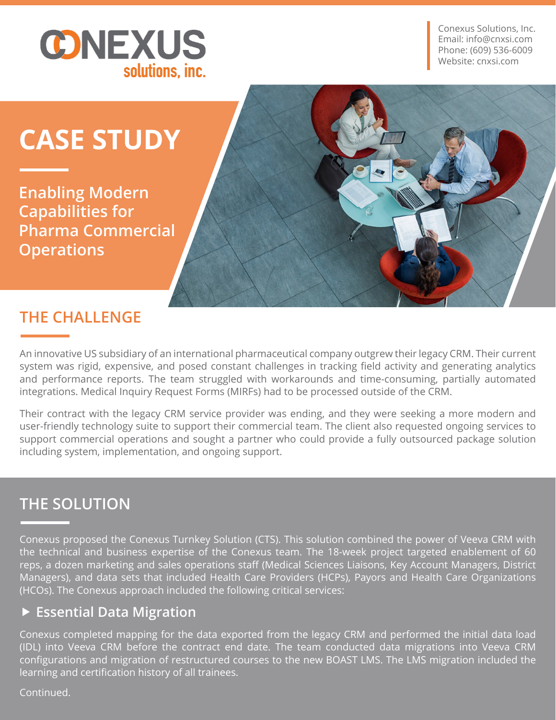

Conexus Solutions, Inc. Email: info@cnxsi.com Phone: (609) 536-6009 Website: cnxsi.com

# **CASE STUDY**

**Enabling Modern Capabilities for Pharma Commercial Operations**

# **THE CHALLENGE**

An innovative US subsidiary of an international pharmaceutical company outgrew their legacy CRM. Their current system was rigid, expensive, and posed constant challenges in tracking field activity and generating analytics and performance reports. The team struggled with workarounds and time-consuming, partially automated integrations. Medical Inquiry Request Forms (MIRFs) had to be processed outside of the CRM.

Their contract with the legacy CRM service provider was ending, and they were seeking a more modern and user-friendly technology suite to support their commercial team. The client also requested ongoing services to support commercial operations and sought a partner who could provide a fully outsourced package solution including system, implementation, and ongoing support.

## **THE SOLUTION**

Conexus proposed the Conexus Turnkey Solution (CTS). This solution combined the power of Veeva CRM with the technical and business expertise of the Conexus team. The 18-week project targeted enablement of 60 reps, a dozen marketing and sales operations staff (Medical Sciences Liaisons, Key Account Managers, District Managers), and data sets that included Health Care Providers (HCPs), Payors and Health Care Organizations (HCOs). The Conexus approach included the following critical services:

#### **Essential Data Migration**

Conexus completed mapping for the data exported from the legacy CRM and performed the initial data load (IDL) into Veeva CRM before the contract end date. The team conducted data migrations into Veeva CRM configurations and migration of restructured courses to the new BOAST LMS. The LMS migration included the learning and certification history of all trainees.

Continued.